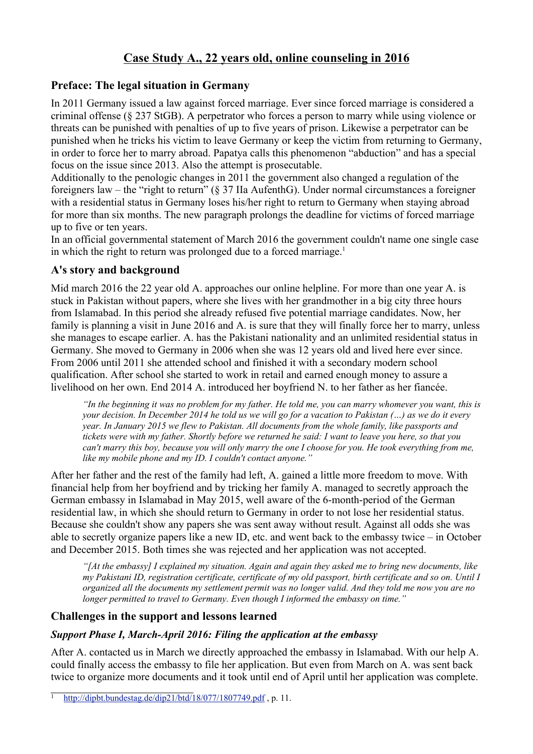# **Case Study A., 22 years old, online counseling in 2016**

### **Preface: The legal situation in Germany**

In 2011 Germany issued a law against forced marriage. Ever since forced marriage is considered a criminal offense (§ 237 StGB). A perpetrator who forces a person to marry while using violence or threats can be punished with penalties of up to five years of prison. Likewise a perpetrator can be punished when he tricks his victim to leave Germany or keep the victim from returning to Germany, in order to force her to marry abroad. Papatya calls this phenomenon "abduction" and has a special focus on the issue since 2013. Also the attempt is prosecutable.

Additionally to the penologic changes in 2011 the government also changed a regulation of the foreigners law – the "right to return" (§ 37 IIa AufenthG). Under normal circumstances a foreigner with a residential status in Germany loses his/her right to return to Germany when staying abroad for more than six months. The new paragraph prolongs the deadline for victims of forced marriage up to five or ten years.

In an official governmental statement of March 2016 the government couldn't name one single case in which the right to return was prolonged due to a forced marriage.<sup>1</sup>

## **A's story and background**

Mid march 2016 the 22 year old A. approaches our online helpline. For more than one year A. is stuck in Pakistan without papers, where she lives with her grandmother in a big city three hours from Islamabad. In this period she already refused five potential marriage candidates. Now, her family is planning a visit in June 2016 and A. is sure that they will finally force her to marry, unless she manages to escape earlier. A. has the Pakistani nationality and an unlimited residential status in Germany. She moved to Germany in 2006 when she was 12 years old and lived here ever since. From 2006 until 2011 she attended school and finished it with a secondary modern school qualification. After school she started to work in retail and earned enough money to assure a livelihood on her own. End 2014 A. introduced her boyfriend N. to her father as her fiancée.

*"In the beginning it was no problem for my father. He told me, you can marry whomever you want, this is your decision. In December 2014 he told us we will go for a vacation to Pakistan (…) as we do it every year. In January 2015 we flew to Pakistan. All documents from the whole family, like passports and tickets were with my father. Shortly before we returned he said: I want to leave you here, so that you can't marry this boy, because you will only marry the one I choose for you. He took everything from me, like my mobile phone and my ID. I couldn't contact anyone."*

After her father and the rest of the family had left, A. gained a little more freedom to move. With financial help from her boyfriend and by tricking her family A. managed to secretly approach the German embassy in Islamabad in May 2015, well aware of the 6-month-period of the German residential law, in which she should return to Germany in order to not lose her residential status. Because she couldn't show any papers she was sent away without result. Against all odds she was able to secretly organize papers like a new ID, etc. and went back to the embassy twice – in October and December 2015. Both times she was rejected and her application was not accepted.

*"[At the embassy] I explained my situation. Again and again they asked me to bring new documents, like my Pakistani ID, registration certificate, certificate of my old passport, birth certificate and so on. Until I organized all the documents my settlement permit was no longer valid. And they told me now you are no longer permitted to travel to Germany. Even though I informed the embassy on time."*

# **Challenges in the support and lessons learned**

#### *Support Phase I, March-April 2016: Filing the application at the embassy*

After A. contacted us in March we directly approached the embassy in Islamabad. With our help A. could finally access the embassy to file her application. But even from March on A. was sent back twice to organize more documents and it took until end of April until her application was complete.

http://dipbt.bundestag.de/dip21/btd/18/077/1807749.pdf, p. 11.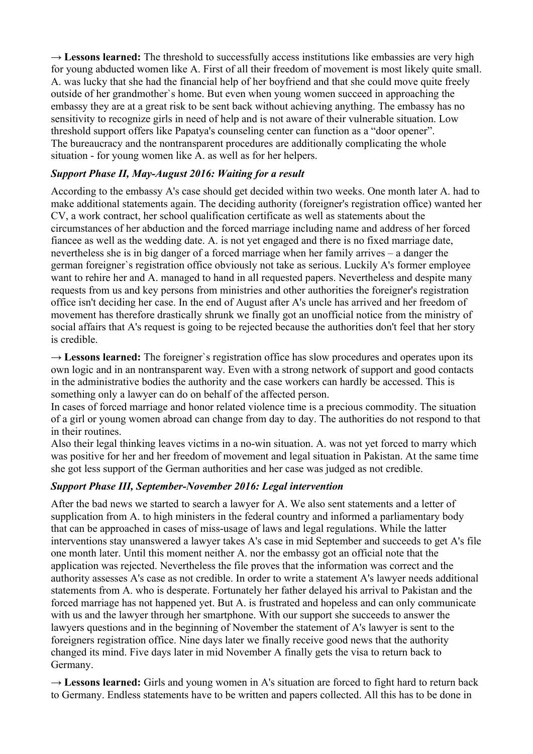→ **Lessons learned:** The threshold to successfully access institutions like embassies are very high for young abducted women like A. First of all their freedom of movement is most likely quite small. A. was lucky that she had the financial help of her boyfriend and that she could move quite freely outside of her grandmother`s home. But even when young women succeed in approaching the embassy they are at a great risk to be sent back without achieving anything. The embassy has no sensitivity to recognize girls in need of help and is not aware of their vulnerable situation. Low threshold support offers like Papatya's counseling center can function as a "door opener". The bureaucracy and the nontransparent procedures are additionally complicating the whole situation - for young women like A. as well as for her helpers.

#### *Support Phase II, May-August 2016: Waiting for a result*

According to the embassy A's case should get decided within two weeks. One month later A. had to make additional statements again. The deciding authority (foreigner's registration office) wanted her CV, a work contract, her school qualification certificate as well as statements about the circumstances of her abduction and the forced marriage including name and address of her forced fiancee as well as the wedding date. A. is not yet engaged and there is no fixed marriage date, nevertheless she is in big danger of a forced marriage when her family arrives – a danger the german foreigner`s registration office obviously not take as serious. Luckily A's former employee want to rehire her and A. managed to hand in all requested papers. Nevertheless and despite many requests from us and key persons from ministries and other authorities the foreigner's registration office isn't deciding her case. In the end of August after A's uncle has arrived and her freedom of movement has therefore drastically shrunk we finally got an unofficial notice from the ministry of social affairs that A's request is going to be rejected because the authorities don't feel that her story is credible.

→ **Lessons learned:** The foreigner's registration office has slow procedures and operates upon its own logic and in an nontransparent way. Even with a strong network of support and good contacts in the administrative bodies the authority and the case workers can hardly be accessed. This is something only a lawyer can do on behalf of the affected person.

In cases of forced marriage and honor related violence time is a precious commodity. The situation of a girl or young women abroad can change from day to day. The authorities do not respond to that in their routines.

Also their legal thinking leaves victims in a no-win situation. A. was not yet forced to marry which was positive for her and her freedom of movement and legal situation in Pakistan. At the same time she got less support of the German authorities and her case was judged as not credible.

#### *Support Phase III, September-November 2016: Legal intervention*

After the bad news we started to search a lawyer for A. We also sent statements and a letter of supplication from A. to high ministers in the federal country and informed a parliamentary body that can be approached in cases of miss-usage of laws and legal regulations. While the latter interventions stay unanswered a lawyer takes A's case in mid September and succeeds to get A's file one month later. Until this moment neither A. nor the embassy got an official note that the application was rejected. Nevertheless the file proves that the information was correct and the authority assesses A's case as not credible. In order to write a statement A's lawyer needs additional statements from A. who is desperate. Fortunately her father delayed his arrival to Pakistan and the forced marriage has not happened yet. But A. is frustrated and hopeless and can only communicate with us and the lawyer through her smartphone. With our support she succeeds to answer the lawyers questions and in the beginning of November the statement of A's lawyer is sent to the foreigners registration office. Nine days later we finally receive good news that the authority changed its mind. Five days later in mid November A finally gets the visa to return back to Germany.

**→ Lessons learned:** Girls and young women in A's situation are forced to fight hard to return back to Germany. Endless statements have to be written and papers collected. All this has to be done in